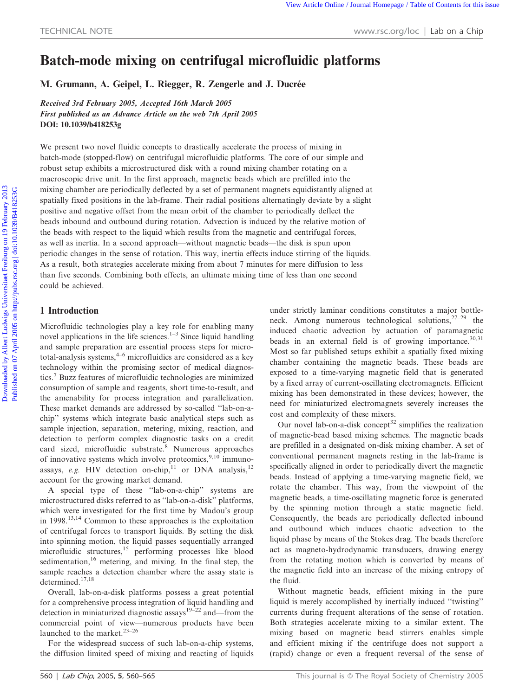# Batch-mode mixing on centrifugal microfluidic platforms

M. Grumann, A. Geipel, L. Riegger, R. Zengerle and J. Ducrée

Received 3rd February 2005, Accepted 16th March 2005 First published as an Advance Article on the web 7th April 2005 DOI: 10.1039/b418253g

We present two novel fluidic concepts to drastically accelerate the process of mixing in batch-mode (stopped-flow) on centrifugal microfluidic platforms. The core of our simple and robust setup exhibits a microstructured disk with a round mixing chamber rotating on a macroscopic drive unit. In the first approach, magnetic beads which are prefilled into the mixing chamber are periodically deflected by a set of permanent magnets equidistantly aligned at spatially fixed positions in the lab-frame. Their radial positions alternatingly deviate by a slight positive and negative offset from the mean orbit of the chamber to periodically deflect the beads inbound and outbound during rotation. Advection is induced by the relative motion of the beads with respect to the liquid which results from the magnetic and centrifugal forces, as well as inertia. In a second approach—without magnetic beads—the disk is spun upon periodic changes in the sense of rotation. This way, inertia effects induce stirring of the liquids. As a result, both strategies accelerate mixing from about 7 minutes for mere diffusion to less than five seconds. Combining both effects, an ultimate mixing time of less than one second could be achieved. TECHNICAL NOTE<br>
TECHNICAL NOTE<br>
WWW.5C.COS/OC | Lab on a Chip<br> **Batch-mode mixing on centrifugal microfluide platforms**<br>
M. Grumman, A. Geipel, L. Riegger, R. Zengerle and J. Duerée<br>
Receive *Receive of the Power 2005*<br>

# 1 Introduction

Microfluidic technologies play a key role for enabling many novel applications in the life sciences.<sup>1–3</sup> Since liquid handling and sample preparation are essential process steps for micrototal-analysis systems, $4-6$  microfluidics are considered as a key technology within the promising sector of medical diagnostics.7 Buzz features of microfluidic technologies are minimized consumption of sample and reagents, short time-to-result, and the amenability for process integration and parallelization. These market demands are addressed by so-called ''lab-on-achip'' systems which integrate basic analytical steps such as sample injection, separation, metering, mixing, reaction, and detection to perform complex diagnostic tasks on a credit card sized, microfluidic substrate.<sup>8</sup> Numerous approaches of innovative systems which involve proteomics,9,10 immunoassays, e.g. HIV detection on-chip,<sup>11</sup> or DNA analysis,<sup>12</sup> account for the growing market demand.

A special type of these ''lab-on-a-chip'' systems are microstructured disks referred to as ''lab-on-a-disk'' platforms, which were investigated for the first time by Madou's group in 1998.<sup>13,14</sup> Common to these approaches is the exploitation of centrifugal forces to transport liquids. By setting the disk into spinning motion, the liquid passes sequentially arranged microfluidic structures,<sup>15</sup> performing processes like blood sedimentation, $16$  metering, and mixing. In the final step, the sample reaches a detection chamber where the assay state is determined.<sup>17,18</sup>

Overall, lab-on-a-disk platforms possess a great potential for a comprehensive process integration of liquid handling and detection in miniaturized diagnostic assays<sup>19–22</sup> and—from the commercial point of view—numerous products have been launched to the market.<sup>23-26</sup>

For the widespread success of such lab-on-a-chip systems, the diffusion limited speed of mixing and reacting of liquids under strictly laminar conditions constitutes a major bottleneck. Among numerous technological solutions,  $27-29$  the induced chaotic advection by actuation of paramagnetic beads in an external field is of growing importance. $30,31$ Most so far published setups exhibit a spatially fixed mixing chamber containing the magnetic beads. These beads are exposed to a time-varying magnetic field that is generated by a fixed array of current-oscillating electromagnets. Efficient mixing has been demonstrated in these devices; however, the need for miniaturized electromagnets severely increases the cost and complexity of these mixers.

Our novel lab-on-a-disk concept<sup>32</sup> simplifies the realization of magnetic-bead based mixing schemes. The magnetic beads are prefilled in a designated on-disk mixing chamber. A set of conventional permanent magnets resting in the lab-frame is specifically aligned in order to periodically divert the magnetic beads. Instead of applying a time-varying magnetic field, we rotate the chamber. This way, from the viewpoint of the magnetic beads, a time-oscillating magnetic force is generated by the spinning motion through a static magnetic field. Consequently, the beads are periodically deflected inbound and outbound which induces chaotic advection to the liquid phase by means of the Stokes drag. The beads therefore act as magneto-hydrodynamic transducers, drawing energy from the rotating motion which is converted by means of the magnetic field into an increase of the mixing entropy of the fluid.

Without magnetic beads, efficient mixing in the pure liquid is merely accomplished by inertially induced ''twisting'' currents during frequent alterations of the sense of rotation. Both strategies accelerate mixing to a similar extent. The mixing based on magnetic bead stirrers enables simple and efficient mixing if the centrifuge does not support a (rapid) change or even a frequent reversal of the sense of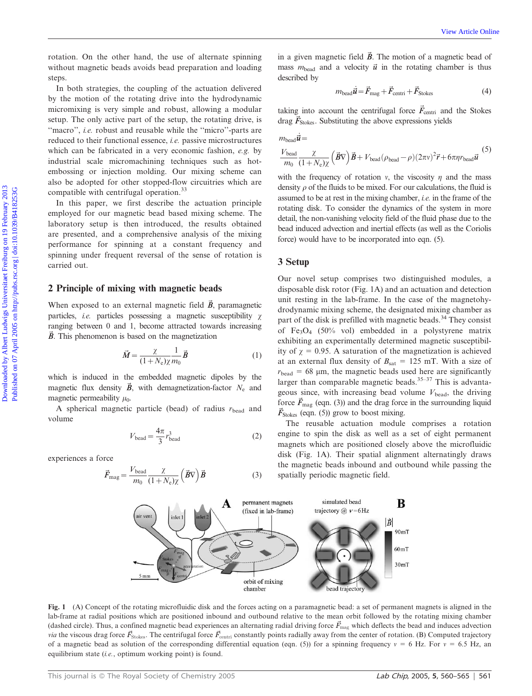rotation. On the other hand, the use of alternate spinning without magnetic beads avoids bead preparation and loading steps.

In both strategies, the coupling of the actuation delivered by the motion of the rotating drive into the hydrodynamic micromixing is very simple and robust, allowing a modular setup. The only active part of the setup, the rotating drive, is "macro", *i.e.* robust and reusable while the "micro"-parts are reduced to their functional essence, i.e. passive microstructures which can be fabricated in a very economic fashion, e.g. by industrial scale micromachining techniques such as hotembossing or injection molding. Our mixing scheme can also be adopted for other stopped-flow circuitries which are compatible with centrifugal operation.<sup>33</sup>

In this paper, we first describe the actuation principle employed for our magnetic bead based mixing scheme. The laboratory setup is then introduced, the results obtained are presented, and a comprehensive analysis of the mixing performance for spinning at a constant frequency and spinning under frequent reversal of the sense of rotation is carried out.

## 2 Principle of mixing with magnetic beads

When exposed to an external magnetic field  $\vec{B}$ , paramagnetic particles, *i.e.* particles possessing a magnetic susceptibility  $\chi$ ranging between 0 and 1, become attracted towards increasing  $\vec{B}$ . This phenomenon is based on the magnetization

$$
\vec{M} = \frac{\chi}{(1 + N_e)\chi} \frac{1}{m_0} \vec{B}
$$
 (1)

which is induced in the embedded magnetic dipoles by the magnetic flux density  $\vec{B}$ , with demagnetization-factor  $N_e$  and magnetic permeability  $\mu_0$ .

A spherical magnetic particle (bead) of radius  $r_{\text{bead}}$  and volume

$$
V_{\text{bead}} = \frac{4\pi}{3} r_{\text{bead}}^3 \tag{2}
$$

experiences a force

$$
\vec{F}_{\text{mag}} = \frac{V_{\text{bead}}}{m_0} \frac{\chi}{(1 + N_{\text{e}}) \chi} \left( \vec{B} \nabla \right) \vec{B}
$$
 (3)

in a given magnetic field  $\vec{B}$ . The motion of a magnetic bead of mass  $m_{\text{bead}}$  and a velocity  $\vec{u}$  in the rotating chamber is thus described by

$$
m_{\text{bead}}\vec{\mathbf{u}} = \vec{F}_{\text{mag}} + \vec{F}_{\text{centri}} + \vec{F}_{\text{Stokes}} \tag{4}
$$

taking into account the centrifugal force  $\vec{F}_{centri}$  and the Stokes drag  $\vec{F}_{\text{Stokes}}$ . Substituting the above expressions yields

$$
m_{\text{bead}}\vec{\mathbf{u}} =
$$
\n
$$
\frac{V_{\text{bead}}}{m_0} \frac{\chi}{(1+N_{\text{e}})\chi} (\vec{B}\nabla)\vec{B} + V_{\text{bead}}(\rho_{\text{bead}} - \rho)(2\pi\nu)^2 \vec{r} + 6\pi\eta r_{\text{bead}}\vec{\mathbf{u}}
$$
\n(5)

with the frequency of rotation v, the viscosity  $\eta$  and the mass density  $\rho$  of the fluids to be mixed. For our calculations, the fluid is assumed to be at rest in the mixing chamber, *i.e.* in the frame of the rotating disk. To consider the dynamics of the system in more detail, the non-vanishing velocity field of the fluid phase due to the bead induced advection and inertial effects (as well as the Coriolis force) would have to be incorporated into eqn. (5).

## 3 Setup

Our novel setup comprises two distinguished modules, a disposable disk rotor (Fig. 1A) and an actuation and detection unit resting in the lab-frame. In the case of the magnetohydrodynamic mixing scheme, the designated mixing chamber as part of the disk is prefilled with magnetic beads.<sup>34</sup> They consist of Fe<sub>3</sub>O<sub>4</sub> (50% vol) embedded in a polystyrene matrix exhibiting an experimentally determined magnetic susceptibility of  $\chi = 0.95$ . A saturation of the magnetization is achieved at an external flux density of  $B_{\text{sat}} = 125 \text{ mT}$ . With a size of  $r_{\text{bead}} = 68 \, \mu \text{m}$ , the magnetic beads used here are significantly larger than comparable magnetic beads.<sup>35–37</sup> This is advantageous since, with increasing bead volume  $V_{\text{bead}}$ , the driving force  $\vec{F}_{\text{mag}}$  (eqn. (3)) and the drag force in the surrounding liquid  $\vec{F}_{\text{Stokes}}$  (eqn. (5)) grow to boost mixing. Download by Albert Ludwigs University China (The matrix of the proposition of the matrix of the control of the control of the control of the control of the control of the control of the control of the control of the matri

> The reusable actuation module comprises a rotation engine to spin the disk as well as a set of eight permanent magnets which are positioned closely above the microfluidic disk (Fig. 1A). Their spatial alignment alternatingly draws the magnetic beads inbound and outbound while passing the spatially periodic magnetic field.



Fig. 1 (A) Concept of the rotating microfluidic disk and the forces acting on a paramagnetic bead: a set of permanent magnets is aligned in the lab-frame at radial positions which are positioned inbound and outbound relative to the mean orbit followed by the rotating mixing chamber (dashed circle). Thus, a confined magnetic bead experiences an alternating radial driving force  $\vec{F}_{mag}$  which deflects the bead and induces advection *via* the viscous drag force  $\vec{F}_{\text{Stokes}}$ . The centrifugal force  $\vec{F}_{\text{centri}}$  constantly points radially away from the center of rotation. (B) Computed trajectory of a magnetic bead as solution of the corresponding differential equation (eqn. (5)) for a spinning frequency  $v = 6$  Hz. For  $v = 6.5$  Hz, an equilibrium state (i.e., optimum working point) is found.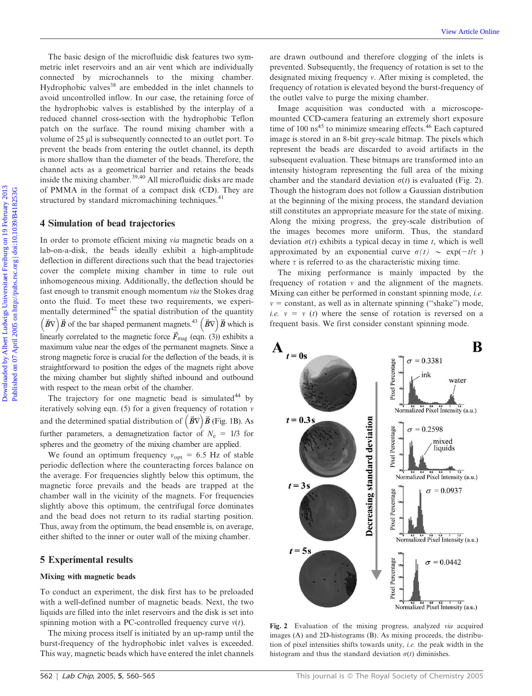The basic design of the microfluidic disk features two symmetric inlet reservoirs and an air vent which are individually connected by microchannels to the mixing chamber. Hydrophobic valves<sup>38</sup> are embedded in the inlet channels to avoid uncontrolled inflow. In our case, the retaining force of the hydrophobic valves is established by the interplay of a reduced channel cross-section with the hydrophobic Teflon patch on the surface. The round mixing chamber with a volume of 25 µl is subsequently connected to an outlet port. To prevent the beads from entering the outlet channel, its depth is more shallow than the diameter of the beads. Therefore, the channel acts as a geometrical barrier and retains the beads inside the mixing chamber.<sup>39,40</sup> All microfluidic disks are made of PMMA in the format of a compact disk (CD). They are structured by standard micromachining techniques.<sup>41</sup>

## 4 Simulation of bead trajectories

In order to promote efficient mixing via magnetic beads on a lab-on-a-disk, the beads ideally exhibit a high-amplitude deflection in different directions such that the bead trajectories cover the complete mixing chamber in time to rule out inhomogeneous mixing. Additionally, the deflection should be fast enough to transmit enough momentum via the Stokes drag onto the fluid. To meet these two requirements, we experimentally determined<sup>42</sup> the spatial distribution of the quantity  $(\vec{B}\nabla)\vec{B}$  of the bar shaped permanent magnets.<sup>43</sup>  $(\vec{B}\nabla)\vec{B}$  which is linearly correlated to the magnetic force  $\vec{F}_{\text{mag}}$  (eqn. (3)) exhibits a maximum value near the edges of the permanent magnets. Since a strong magnetic force is crucial for the deflection of the beads, it is straightforward to position the edges of the magnets right above the mixing chamber but slightly shifted inbound and outbound with respect to the mean orbit of the chamber.

The trajectory for one magnetic bead is simulated $44$  by iteratively solving eqn. (5) for a given frequency of rotation  $\nu$ and the determined spatial distribution of  $({\vec{B}}\nabla)\vec{B}$  (Fig. 1B). As further parameters, a demagnetization factor of  $N_e = 1/3$  for spheres and the geometry of the mixing chamber are applied.

We found an optimum frequency  $v_{opt} = 6.5$  Hz of stable periodic deflection where the counteracting forces balance on the average. For frequencies slightly below this optimum, the magnetic force prevails and the beads are trapped at the chamber wall in the vicinity of the magnets. For frequencies slightly above this optimum, the centrifugal force dominates and the bead does not return to its radial starting position. Thus, away from the optimum, the bead ensemble is, on average, either shifted to the inner or outer wall of the mixing chamber.

## 5 Experimental results

#### Mixing with magnetic beads

To conduct an experiment, the disk first has to be preloaded with a well-defined number of magnetic beads. Next, the two liquids are filled into the inlet reservoirs and the disk is set into spinning motion with a PC-controlled frequency curve  $v(t)$ .

The mixing process itself is initiated by an up-ramp until the burst-frequency of the hydrophobic inlet valves is exceeded. This way, magnetic beads which have entered the inlet channels are drawn outbound and therefore clogging of the inlets is prevented. Subsequently, the frequency of rotation is set to the designated mixing frequency  $v$ . After mixing is completed, the frequency of rotation is elevated beyond the burst-frequency of the outlet valve to purge the mixing chamber.

Image acquisition was conducted with a microscopemounted CCD-camera featuring an extremely short exposure time of 100 ns<sup>45</sup> to minimize smearing effects.<sup>46</sup> Each captured image is stored in an 8-bit grey-scale bitmap. The pixels which represent the beads are discarded to avoid artifacts in the subsequent evaluation. These bitmaps are transformed into an intensity histogram representing the full area of the mixing chamber and the standard deviation  $\sigma(t)$  is evaluated (Fig. 2). Though the histogram does not follow a Gaussian distribution at the beginning of the mixing process, the standard deviation still constitutes an appropriate measure for the state of mixing. Along the mixing progress, the grey-scale distribution of the images becomes more uniform. Thus, the standard deviation  $\sigma(t)$  exhibits a typical decay in time t, which is well approximated by an exponential curve  $\sigma(t) \sim \exp(-t/\tau)$ where  $\tau$  is referred to as the characteristic mixing time. The basic design of the microfluints dak features too syn.<br>
metric indet reservoirs and an air vent which are individually prevented. Subsequently, the frequency of rotation is deviated by microlanging frequency of rotati

The mixing performance is mainly impacted by the frequency of rotation  $v$  and the alignment of the magnets. Mixing can either be performed in constant spinning mode, *i.e.*  $v = constant$ , as well as in alternate spinning ("shake") mode, *i.e.*  $v = v(t)$  where the sense of rotation is reversed on a frequent basis. We first consider constant spinning mode.



Fig. 2 Evaluation of the mixing progress, analyzed via acquired images (A) and 2D-histograms (B). As mixing proceeds, the distribution of pixel intensities shifts towards unity, i.e. the peak width in the histogram and thus the standard deviation  $\sigma(t)$  diminishes.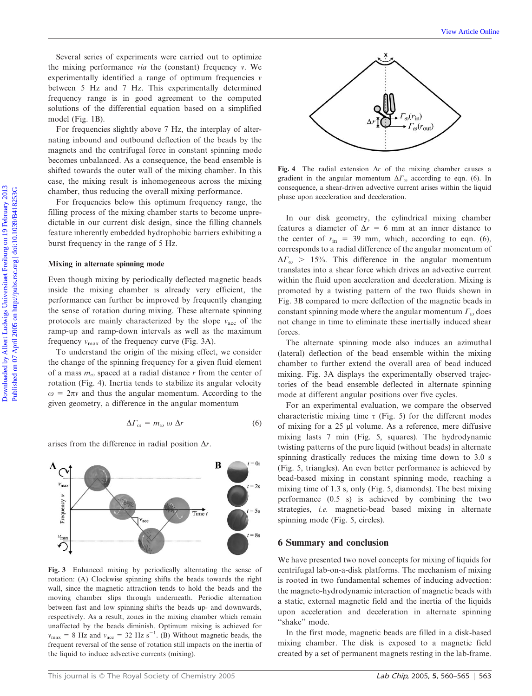Several series of experiments were carried out to optimize the mixing performance *via* the (constant) frequency  $\nu$ . We experimentally identified a range of optimum frequencies  $\nu$ between 5 Hz and 7 Hz. This experimentally determined frequency range is in good agreement to the computed solutions of the differential equation based on a simplified model (Fig. 1B).

For frequencies slightly above 7 Hz, the interplay of alternating inbound and outbound deflection of the beads by the magnets and the centrifugal force in constant spinning mode becomes unbalanced. As a consequence, the bead ensemble is shifted towards the outer wall of the mixing chamber. In this case, the mixing result is inhomogeneous across the mixing chamber, thus reducing the overall mixing performance.

For frequencies below this optimum frequency range, the filling process of the mixing chamber starts to become unpredictable in our current disk design, since the filling channels feature inherently embedded hydrophobic barriers exhibiting a burst frequency in the range of 5 Hz.

### Mixing in alternate spinning mode

Even though mixing by periodically deflected magnetic beads inside the mixing chamber is already very efficient, the performance can further be improved by frequently changing the sense of rotation during mixing. These alternate spinning protocols are mainly characterized by the slope  $v_{\text{acc}}$  of the ramp-up and ramp-down intervals as well as the maximum frequency  $v_{\text{max}}$  of the frequency curve (Fig. 3A).

To understand the origin of the mixing effect, we consider the change of the spinning frequency for a given fluid element of a mass  $m_{\omega}$  spaced at a radial distance r from the center of rotation (Fig. 4). Inertia tends to stabilize its angular velocity  $\omega = 2\pi v$  and thus the angular momentum. According to the given geometry, a difference in the angular momentum

$$
\Delta\Gamma_{\omega} = m_{\omega} \omega \Delta r \tag{6}
$$

 $\overrightarrow{\text{Time}}$ 

B

 $t = 0s$ 

 $t = 2s$ 

 $t = 8s$ 

arises from the difference in radial position  $\Delta r$ .

 $V_{\text{ma}}$ 

Frequency

 $V_{\text{ma}}$ 





Fig. 4 The radial extension  $\Delta r$  of the mixing chamber causes a gradient in the angular momentum  $\Delta\Gamma_{\omega}$  according to eqn. (6). In consequence, a shear-driven advective current arises within the liquid phase upon acceleration and deceleration.

In our disk geometry, the cylindrical mixing chamber features a diameter of  $\Delta r = 6$  mm at an inner distance to the center of  $r_{\text{in}} = 39$  mm, which, according to eqn. (6), corresponds to a radial difference of the angular momentum of  $\Delta\Gamma_{\omega}$  > 15%. This difference in the angular momentum translates into a shear force which drives an advective current within the fluid upon acceleration and deceleration. Mixing is promoted by a twisting pattern of the two fluids shown in Fig. 3B compared to mere deflection of the magnetic beads in constant spinning mode where the angular momentum  $\Gamma_{\omega}$  does not change in time to eliminate these inertially induced shear forces. Several series of experiments were carried out to optimize<br>
the maximized a range of equinomial requirescent of the constraints is<br>
required and the constraints of the constraints of the computer of the computer<br>
frequenc

The alternate spinning mode also induces an azimuthal (lateral) deflection of the bead ensemble within the mixing chamber to further extend the overall area of bead induced mixing. Fig. 3A displays the experimentally observed trajectories of the bead ensemble deflected in alternate spinning mode at different angular positions over five cycles.

For an experimental evaluation, we compare the observed characteristic mixing time  $\tau$  (Fig. 5) for the different modes of mixing for a 25 µl volume. As a reference, mere diffusive mixing lasts 7 min (Fig. 5, squares). The hydrodynamic twisting patterns of the pure liquid (without beads) in alternate spinning drastically reduces the mixing time down to 3.0 s (Fig. 5, triangles). An even better performance is achieved by bead-based mixing in constant spinning mode, reaching a mixing time of 1.3 s, only (Fig. 5, diamonds). The best mixing performance (0.5 s) is achieved by combining the two strategies, i.e. magnetic-bead based mixing in alternate spinning mode (Fig. 5, circles).

## 6 Summary and conclusion

We have presented two novel concepts for mixing of liquids for centrifugal lab-on-a-disk platforms. The mechanism of mixing is rooted in two fundamental schemes of inducing advection: the magneto-hydrodynamic interaction of magnetic beads with a static, external magnetic field and the inertia of the liquids upon acceleration and deceleration in alternate spinning "shake" mode.

In the first mode, magnetic beads are filled in a disk-based mixing chamber. The disk is exposed to a magnetic field created by a set of permanent magnets resting in the lab-frame.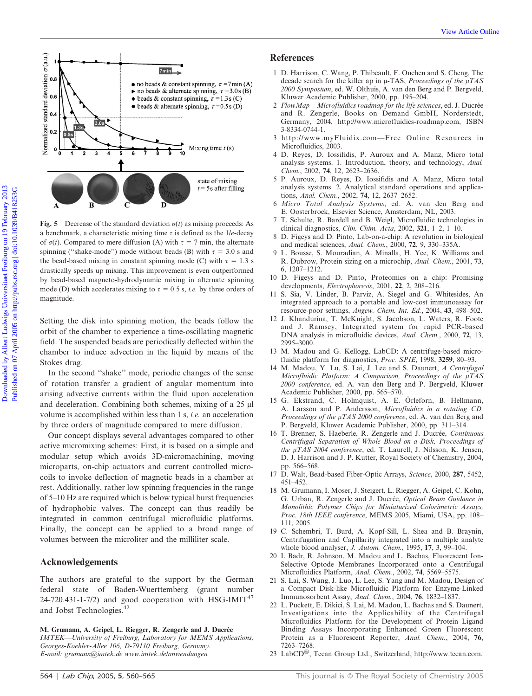

Fig. 5 Decrease of the standard deviation  $\sigma(t)$  as mixing proceeds: As a benchmark, a characteristic mixing time  $\tau$  is defined as the 1/e-decay of  $\sigma(t)$ . Compared to mere diffusion (A) with  $\tau = 7$  min, the alternate spinning ("shake-mode") mode without beads (B) with  $\tau = 3.0$  s and the bead-based mixing in constant spinning mode (C) with  $\tau = 1.3$  s drastically speeds up mixing. This improvement is even outperformed by bead-based magneto-hydrodynamic mixing in alternate spinning mode (D) which accelerates mixing to  $\tau = 0.5$  s, *i.e.* by three orders of magnitude.

Setting the disk into spinning motion, the beads follow the orbit of the chamber to experience a time-oscillating magnetic field. The suspended beads are periodically deflected within the chamber to induce advection in the liquid by means of the Stokes drag.

In the second ''shake'' mode, periodic changes of the sense of rotation transfer a gradient of angular momentum into arising advective currents within the fluid upon acceleration and deceleration. Combining both schemes, mixing of a 25 µl volume is accomplished within less than 1 s, i.e. an acceleration by three orders of magnitude compared to mere diffusion.

Our concept displays several advantages compared to other active micromixing schemes: First, it is based on a simple and modular setup which avoids 3D-micromachining, moving microparts, on-chip actuators and current controlled microcoils to invoke deflection of magnetic beads in a chamber at rest. Additionally, rather low spinning frequencies in the range of 5–10 Hz are required which is below typical burst frequencies of hydrophobic valves. The concept can thus readily be integrated in common centrifugal microfluidic platforms. Finally, the concept can be applied to a broad range of volumes between the microliter and the milliliter scale.

# Acknowledgements

The authors are grateful to the support by the German federal state of Baden-Wuerttemberg (grant number 24-720.431-1-7/2) and good cooperation with HSG-IMIT<sup>47</sup> and Jobst Technologies.<sup>42</sup>

M. Grumann, A. Geipel, L. Riegger, R. Zengerle and J. Ducrée IMTEK—University of Freiburg, Laboratory for MEMS Applications, Georges-Koehler-Allee 106, D-79110 Freiburg, Germany. E-mail: grumann@imtek.de www.imtek.de/anwendungen

# References

- 1 D. Harrison, C. Wang, P. Thibeault, F. Ouchen and S. Cheng, The decade search for the killer ap in  $\mu$ -TAS, *Proceedings of the*  $\mu$ *TAS* 2000 Symposium, ed. W. Olthuis, A. van den Berg and P. Bergveld, Kluwer Academic Publisher, 2000, pp. 195–204.
- 2 FlowMap-Microfluidics roadmap for the life sciences, ed. J. Ducrée and R. Zengerle, Books on Demand GmbH, Norderstedt, Germany, 2004, http://www.microfluidics-roadmap.com, ISBN 3-8334-0744-1.
- 3 http://www.myFluidix.com—Free Online Resources in Microfluidics, 2003.
- 4 D. Reyes, D. Iossifidis, P. Auroux and A. Manz, Micro total analysis systems. 1. Introduction, theory, and technology, Anal. Chem., 2002, 74, 12, 2623–2636.
- 5 P. Auroux, D. Reyes, D. Iossifidis and A. Manz, Micro total analysis systems. 2. Analytical standard operations and applications, Anal. Chem., 2002, 74, 12, 2637–2652.
- 6 Micro Total Analysis Systems, ed. A. van den Berg and E. Oosterbroek, Elsevier Science, Amsterdam, NL, 2003.
- 7 T. Schulte, R. Bardell and B. Weigl, Microfluidic technologies in clinical diagnostics, Clin. Chim. Acta, 2002, 321, 1–2, 1–10.
- D. Figeys and D. Pinto, Lab-on-a-chip: A revolution in biological and medical sciences, Anal. Chem., 2000, 72, 9, 330–335A.
- 9 L. Bousse, S. Mouradian, A. Minalla, H. Yee, K. Williams and R. Dubrow, Protein sizing on a microchip, Anal. Chem., 2001, 73, 6, 1207–1212.
- 10 D. Figeys and D. Pinto, Proteomics on a chip: Promising developments, Electrophoresis, 2001, 22, 2, 208–216.
- 11 S. Sia, V. Linder, B. Parviz, A. Siegel and G. Whitesides, An integrated approach to a portable and low-cost immunoassay for resource-poor settings, Angew. Chem. Int. Ed., 2004, 43, 498–502.
- 12 J. Khandurina, T. McKnight, S. Jacobson, L. Waters, R. Foote and J. Ramsey, Integrated system for rapid PCR-based DNA analysis in microfluidic devices, Anal. Chem., 2000, 72, 13, 2995–3000.
- 13 M. Madou and G. Kellogg, LabCD: A centrifuge-based microfluidic platform for diagnostics, Proc. SPIE, 1998, 3259, 80-93.
- 14 M. Madou, Y. Lu, S. Lai, J. Lee and S. Daunert, A Centrifugal Microfluidic Platform: A Comparison, Proceedings of the  $\mu TAS$ 2000 conference, ed. A. van den Berg and P. Bergveld, Kluwer Academic Publisher, 2000, pp. 565–570.
- 15 G. Ekstrand, C. Holmquist, A. E. Örleforn, B. Hellmann, A. Larsson and P. Andersson, Microfluidics in a rotating CD, Proceedings of the µTAS 2000 conference, ed. A. van den Berg and P. Bergveld, Kluwer Academic Publisher, 2000, pp. 311–314.
- 16 T. Brenner, S. Haeberle, R. Zengerle and J. Ducrée, Continuous Centrifugal Separation of Whole Blood on a Disk, Proceedings of the µTAS 2004 conference, ed. T. Laurell, J. Nilsson, K. Jensen, D. J. Harrison and J. P. Kutter, Royal Society of Chemistry, 2004, pp. 566–568.
- 17 D. Walt, Bead-based Fiber-Optic Arrays, Science, 2000, 287, 5452, 451–452.
- 18 M. Grumann, I. Moser, J. Steigert, L. Riegger, A. Geipel, C. Kohn, G. Urban, R. Zengerle and J. Ducrée, Optical Beam Guidance in Monolithic Polymer Chips for Miniaturized Colorimetric Assays, Proc. 18th IEEE conference, MEMS 2005, Miami, USA, pp. 108– 111, 2005.
- 19 C. Schembri, T. Burd, A. Kopf-Sill, L. Shea and B. Braynin, Centrifugation and Capillarity integrated into a multiple analyte whole blood analyser, J. Autom. Chem., 1995, 17, 3, 99–104.
- 20 I. Badr, R. Johnson, M. Madou and L. Bachas, Fluorescent Ion-Selective Optode Membranes Incorporated onto a Centrifugal Microfluidics Platform, Anal. Chem., 2002, 74, 5569-5575.
- 21 S. Lai, S. Wang, J. Luo, L. Lee, S. Yang and M. Madou, Design of a Compact Disk-like Microfluidic Platform for Enzyme-Linked Immunosorbent Assay, Anal. Chem., 2004, 76, 1832–1837.
- 22 L. Puckett, E. Dikici, S. Lai, M. Madou, L. Bachas and S. Daunert, Investigations into the Applicability of the Centrifugal Microfluidics Platform for the Development of Protein–Ligand Binding Assays Incorporating Enhanced Green Fluorescent Protein as a Fluorescent Reporter, Anal. Chem., 2004, 76, 7263–7268.
- 23 LabCD<sup>®</sup>, Tecan Group Ltd., Switzerland, http://www.tecan.com.